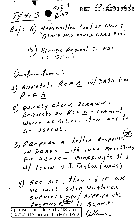

REF 16: 82919536

 $Re[:A)'$  HANDWAITTEN LOST OF WHAT

B) BLAND's Request to NSA

Instructions: 1) ANNOTATE REFS W/DATA FM  $f$  e  $f$   $\frac{A}{A}$ 

- 2) Quickly check Remaining Requests on Ref B - Comment where we Believe item Not to Be useful.
- $3)$   $\rho$ *Repare a Letter Response* , w DRAFT with INFO Resulting Fm ABOVE - COORDINAte this w/ Levin & J. Taylox (NARS)

 $f)$  see me, then - I if o.k. We will SHIP WHATEVER  $5$ <br> $90$ <br> $100005$ <br> $10$ <br> $100000$   $100000$ <br>Approved for Release by NSA on<br>D6-22-2015 pursuant to E.O. 13520  $10000$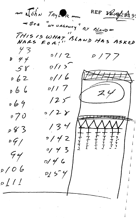REF Vougher and John Taylor Bez "No URGENCY" BY BLANDE THIS IS WHAT BLAND HAS ASKED  $NADS$  $43$  $0//2$  $0/77$  $D \frac{4}{7}$  $0/15$  $58$  $0/16$  $0.62$  $\n p // 7\n$ 066  $74$  $125$  $069$  $0/28$  $p \nmid \partial$  $134$  $p83$  $8/42$  $1 - 1 - 1 - 1$  $\frac{1}{T}$  $\frac{1}{T}$  $09/$  $9/43$  $94$  $0/46$ o / 0 6  $P_1$  5  $7$  $\mathcal{P}$   $\int$   $\int$   $\int$